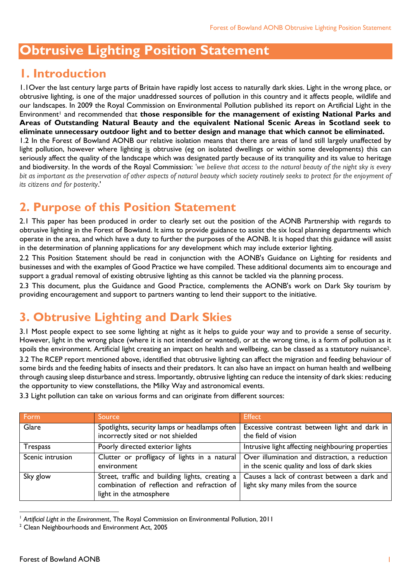# **Obtrusive Lighting Position Statement**

#### **1. Introduction**

1.1Over the last century large parts of Britain have rapidly lost access to naturally dark skies. Light in the wrong place, or obtrusive lighting, is one of the major unaddressed sources of pollution in this country and it affects people, wildlife and our landscapes. In 2009 the Royal Commission on Environmental Pollution published its report on Artificial Light in the Environment<sup>1</sup> and recommended that **those responsible for the management of existing National Parks and Areas of Outstanding Natural Beauty and the equivalent National Scenic Areas in Scotland seek to eliminate unnecessary outdoor light and to better design and manage that which cannot be eliminated.** 1.2 In the Forest of Bowland AONB our relative isolation means that there are areas of land still largely unaffected by light pollution, however where lighting is obtrusive (eg on isolated dwellings or within some developments) this can seriously affect the quality of the landscape which was designated partly because of its tranquility and its value to heritage and biodiversity. In the words of the Royal Commission: *'we believe that access to the natural beauty of the night sky is every bit as important as the preservation of other aspects of natural beauty which society routinely seeks to protect for the enjoyment of its citizens and for posterity*.'

### **2. Purpose of this Position Statement**

2.1 This paper has been produced in order to clearly set out the position of the AONB Partnership with regards to obtrusive lighting in the Forest of Bowland. It aims to provide guidance to assist the six local planning departments which operate in the area, and which have a duty to further the purposes of the AONB. It is hoped that this guidance will assist in the determination of planning applications for any development which may include exterior lighting.

2.2 This Position Statement should be read in conjunction with the AONB's Guidance on Lighting for residents and businesses and with the examples of Good Practice we have compiled. These additional documents aim to encourage and support a gradual removal of existing obtrusive lighting as this cannot be tackled via the planning process.

2.3 This document, plus the Guidance and Good Practice, complements the AONB's work on Dark Sky tourism by providing encouragement and support to partners wanting to lend their support to the initiative.

## **3. Obtrusive Lighting and Dark Skies**

3.1 Most people expect to see some lighting at night as it helps to guide your way and to provide a sense of security. However, light in the wrong place (where it is not intended or wanted), or at the wrong time, is a form of pollution as it spoils the environment. Artificial light creating an impact on health and wellbeing, can be classed as a statutory nuisance2.

3.2 The RCEP report mentioned above, identified that obtrusive lighting can affect the migration and feeding behaviour of some birds and the feeding habits of insects and their predators. It can also have an impact on human health and wellbeing through causing sleep disturbance and stress. Importantly, obtrusive lighting can reduce the intensity of dark skies: reducing the opportunity to view constellations, the Milky Way and astronomical events.

| Form             | Source                                                                                                        | <b>Effect</b>                                                                                                                                 |
|------------------|---------------------------------------------------------------------------------------------------------------|-----------------------------------------------------------------------------------------------------------------------------------------------|
| Glare            | Spotlights, security lamps or headlamps often<br>incorrectly sited or not shielded                            | Excessive contrast between light and dark in<br>the field of vision                                                                           |
| <b>Trespass</b>  | Poorly directed exterior lights                                                                               | Intrusive light affecting neighbouring properties                                                                                             |
| Scenic intrusion | environment                                                                                                   | Clutter or profligacy of lights in a natural   Over illumination and distraction, a reduction<br>in the scenic quality and loss of dark skies |
| Sky glow         | combination of reflection and refraction of   light sky many miles from the source<br>light in the atmosphere | Street, traffic and building lights, creating a   Causes a lack of contrast between a dark and                                                |

3.3 Light pollution can take on various forms and can originate from different sources:

 $\overline{a}$ 

<sup>1</sup> *Artificial Light in the Environment*, The Royal Commission on Environmental Pollution, 2011

<sup>&</sup>lt;sup>2</sup> Clean Neighbourhoods and Environment Act, 2005